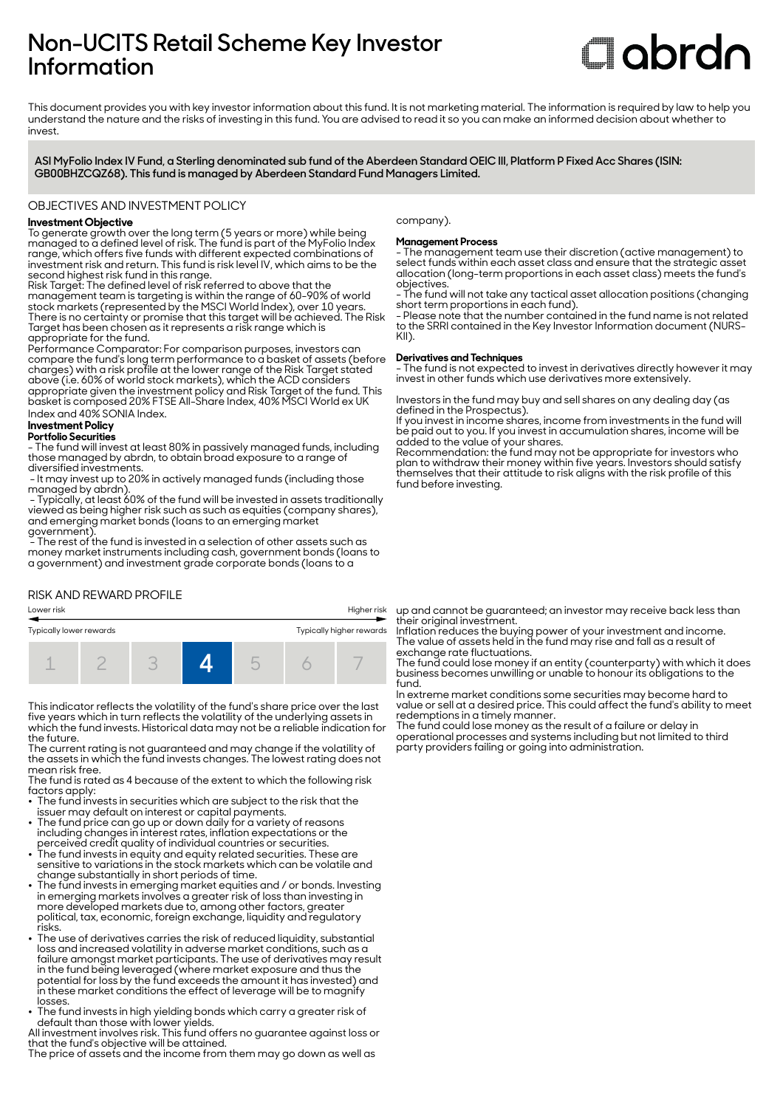# **Non-UCITS Retail Scheme Key Investor Information**

# **Clobrdn**

This document provides you with key investor information about this fund. It is not marketing material. The information is required by law to help you understand the nature and the risks of investing in this fund. You are advised to read it so you can make an informed decision about whether to invest

**ASI MyFolio Index IV Fund, a Sterling denominated sub fund of the Aberdeen Standard OEIC III, Platform P Fixed Acc Shares (ISIN: GB00BHZCQZ68). This fund is managed by Aberdeen Standard Fund Managers Limited.**

### OBJECTIVES AND INVESTMENT POLICY

# **Investment Objective**

To generate growth over the long term (5 years or more) while being managed to a defined level of risk. The fund is part of the MyFolio Index range, which offers five funds with different expected combinations of investment risk and return. This fund is risk level IV, which aims to be the second highest risk fund in this range.

Risk Target: The defined level of risk referred to above that the management team is targeting is within the range of 60-90% of world stock markets (represented by the MSCI World Index), over 10 years. There is no certainty or promise that this target will be achieved. The Risk Target has been chosen as it represents a risk range which is appropriate for the fund.

Performance Comparator: For comparison purposes, investors can compare the fund's long term performance to a basket of assets (before charges) with a risk profile at the lower range of the Risk Target stated above (i.e. 60% of world stock markets), which the ACD considers appropriate given the investment policy and Risk Target of the fund. This basket is composed 20% FTSE All-Share Index, 40% MSCI World ex UK Index and 40% SONIA Index.

#### **Investment Policy Portfolio Securities**

- The fund will invest at least 80% in passively managed funds, including those managed by abrdn, to obtain broad exposure to a range of diversified investments.

 - It may invest up to 20% in actively managed funds (including those managed by abrdn).

 - Typically, at least 60% of the fund will be invested in assets traditionally viewed as being higher risk such as such as equities (company shares), and emerging market bonds (loans to an emerging market government).

 $\widetilde{\phantom{a}}$  The rest of the fund is invested in a selection of other assets such as money market instruments including cash, government bonds (loans to a government) and investment grade corporate bonds (loans to a

## RISK AND REWARD PROFILE

# Lower risk Higher risk Typically lower rewards Typically higher rewards 1 2 3 **4** 5 6 7

This indicator reflects the volatility of the fund's share price over the last five years which in turn reflects the volatility of the underlying assets in which the fund invests. Historical data may not be a reliable indication for the future.

The current rating is not guaranteed and may change if the volatility of the assets in which the fund invests changes. The lowest rating does not mean risk free.

The fund is rated as 4 because of the extent to which the following risk factors apply:

• The fund invests in securities which are subject to the risk that the

- issuer may default on interest or capital payments. 2 The fund price can go up or down daily for a variety of reasons including changes in interest rates, inflation expectations or the
- perceived credit quality of individual countries or securities. 2 The fund invests in equity and equity related securities. These are sensitive to variations in the stock markets which can be volatile and
- change substantially in short periods of time. 2 The fund invests in emerging market equities and / or bonds. Investing in emerging markets involves a greater risk of loss than investing in more developed markets due to, among other factors, greater political, tax, economic, foreign exchange, liquidity and regulatory risks.
- The use of derivatives carries the risk of reduced liquidity, substantial loss and increased volatility in adverse market conditions, such as a failure amongst market participants. The use of derivatives may result in the fund being leveraged (where market exposure and thus the potential for loss by the fund exceeds the amount it has invested) and in these market conditions the effect of leverage will be to magnify losses.
- The fund invests in high yielding bonds which carry a greater risk of default than those with lower yields.

All investment involves risk. This fund offers no guarantee against loss or that the fund's objective will be attained.

The price of assets and the income from them may go down as well as

company).

#### **Management Process**

- The management team use their discretion (active management) to select funds within each asset class and ensure that the strategic asset allocation (long-term proportions in each asset class) meets the fund's objectives.

- The fund will not take any tactical asset allocation positions (changing short term proportions in each fund).

- Please note that the number contained in the fund name is not related to the SRRI contained in the Key Investor Information document (NURS-KII).

#### **Derivatives and Techniques**

- The fund is not expected to invest in derivatives directly however it may invest in other funds which use derivatives more extensively.

Investors in the fund may buy and sell shares on any dealing day (as defined in the Prospectus).

If you invest in income shares, income from investments in the fund will be paid out to you. If you invest in accumulation shares, income will be added to the value of your shares.

Recommendation: the fund may not be appropriate for investors who plan to withdraw their money within five years. Investors should satisfy themselves that their attitude to risk aligns with the risk profile of this fund before investing.

up and cannot be guaranteed; an investor may receive back less than their original investment.

Inflation reduces the buying power of your investment and income. The value of assets held in the fund may rise and fall as a result of exchange rate fluctuations.

The fund could lose money if an entity (counterparty) with which it does business becomes unwilling or unable to honour its obligations to the fund.

In extreme market conditions some securities may become hard to value or sell at a desired price. This could affect the fund's ability to meet redemptions in a timely manner.

The fund could lose money as the result of a failure or delay in operational processes and systems including but not limited to third party providers failing or going into administration.